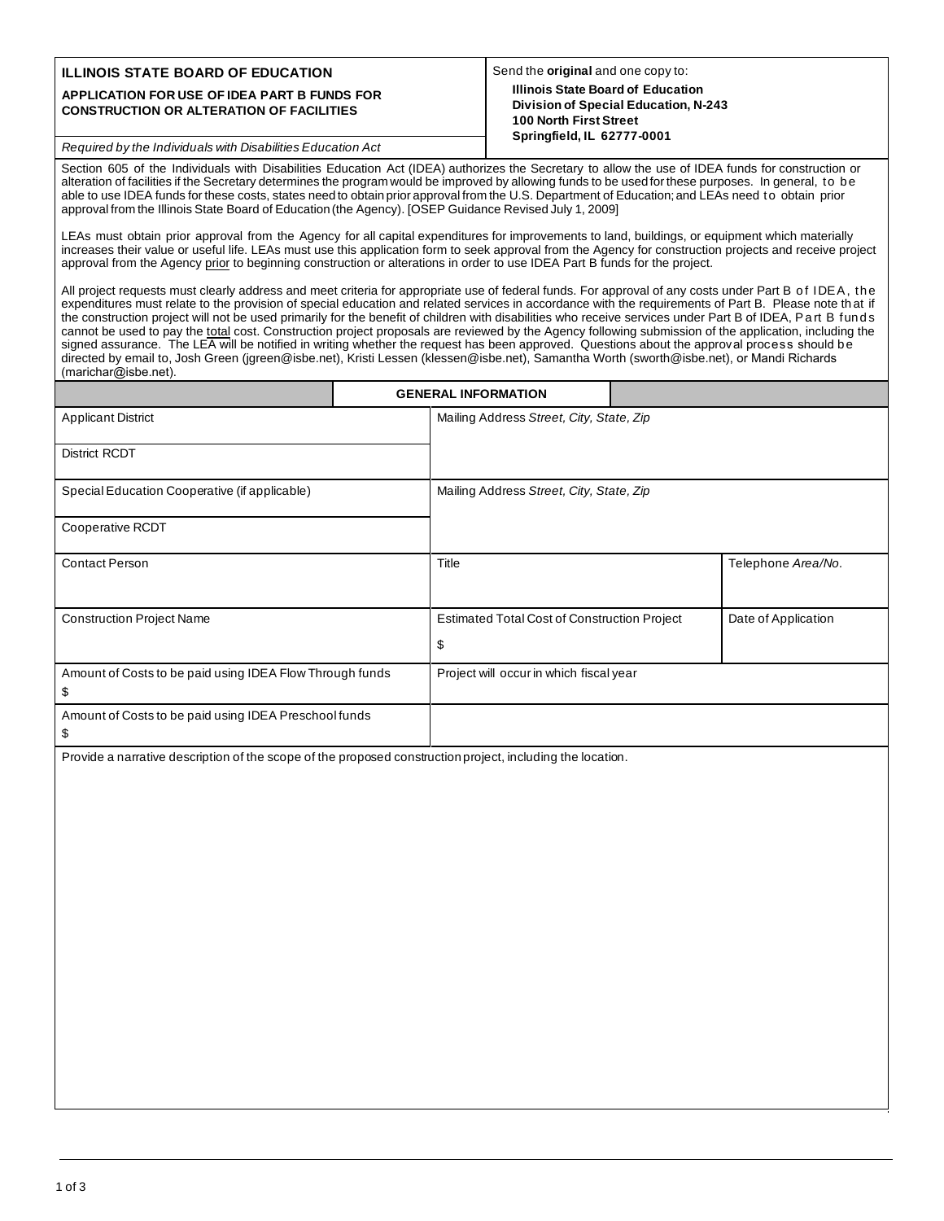## **ILLINOIS STATE BOARD OF EDUCATION**

## **APPLICATION FOR USE OF IDEA PART B FUNDS FOR CONSTRUCTION OR ALTERATION OF FACILITIES**

## Send the **original** and one copy to: **Illinois State Board of Education Division of Special Education, N-243 100 North First Street Springfield, IL 62777-0001**

*Required by the Individuals with Disabilities Education Act*

Section 605 of the Individuals with Disabilities Education Act (IDEA) authorizes the Secretary to allow the use of IDEA funds for construction or alteration of facilities if the Secretary determines the program would be improved by allowing funds to be used for these purposes. In general, to be able to use IDEA funds for these costs, states need to obtain prior approval from the U.S. Department of Education; and LEAs need to obtain prior approval from the Illinois State Board of Education (the Agency). [OSEP Guidance Revised July 1, 2009]

LEAs must obtain prior approval from the Agency for all capital expenditures for improvements to land, buildings, or equipment which materially increases their value or useful life. LEAs must use this application form to seek approval from the Agency for construction projects and receive project approval from the Agency prior to beginning construction or alterations in order to use IDEA Part B funds for the project.

All project requests must clearly address and meet criteria for appropriate use of federal funds. For approval of any costs under Part B of IDEA, the expenditures must relate to the provision of special education and related services in accordance with the requirements of Part B. Please note th at if the construction project will not be used primarily for the benefit of children with disabilities who receive services under Part B of IDEA, Part B funds cannot be used to pay the total cost. Construction project proposals are reviewed by the Agency following submission of the application, including the signed assurance. The LEA will be notified in writing whether the request has been approved. Questions about the approval process should be directed by email to, Josh Green (jgreen@isbe.net), Kristi Lessen (klessen@isbe.net), Samantha Worth (sworth@isbe.net), or Mandi Richards (marichar@isbe.net).

|                                                               |  | <b>GENERAL INFORMATION</b>                          |  |                     |
|---------------------------------------------------------------|--|-----------------------------------------------------|--|---------------------|
| <b>Applicant District</b>                                     |  | Mailing Address Street, City, State, Zip            |  |                     |
| District RCDT                                                 |  |                                                     |  |                     |
| Special Education Cooperative (if applicable)                 |  | Mailing Address Street, City, State, Zip            |  |                     |
| Cooperative RCDT                                              |  |                                                     |  |                     |
| <b>Contact Person</b>                                         |  | Title                                               |  | Telephone Area/No.  |
| <b>Construction Project Name</b>                              |  | <b>Estimated Total Cost of Construction Project</b> |  | Date of Application |
|                                                               |  | \$                                                  |  |                     |
| Amount of Costs to be paid using IDEA Flow Through funds<br>S |  | Project will occur in which fiscal year             |  |                     |
| Amount of Costs to be paid using IDEA Preschool funds<br>æ.   |  |                                                     |  |                     |

Provide a narrative description of the scope of the proposed construction project, including the location.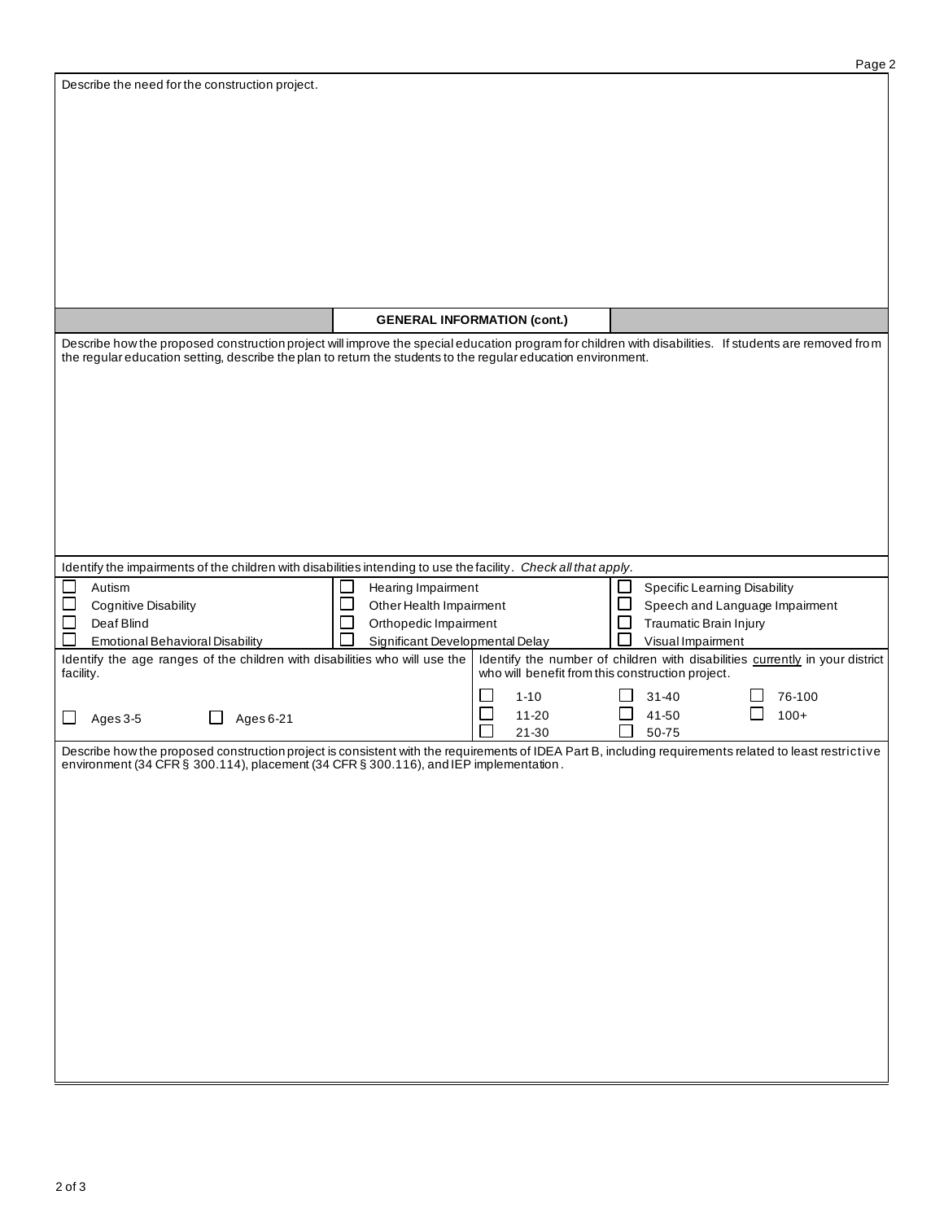| Describe the need for the construction project. |  |
|-------------------------------------------------|--|
|                                                 |  |

|                                                                                                                                                                                                                                                                         |                                                                                                           | <b>GENERAL INFORMATION (cont.)</b>               |                                             |                                                                              |
|-------------------------------------------------------------------------------------------------------------------------------------------------------------------------------------------------------------------------------------------------------------------------|-----------------------------------------------------------------------------------------------------------|--------------------------------------------------|---------------------------------------------|------------------------------------------------------------------------------|
| Describe how the proposed construction project will improve the special education program for children with disabilities. If students are removed from<br>the regular education setting, describe the plan to return the students to the regular education environment. |                                                                                                           |                                                  |                                             |                                                                              |
| Identify the impairments of the children with disabilities intending to use the facility. Check all that apply.                                                                                                                                                         |                                                                                                           |                                                  |                                             |                                                                              |
| Autism<br>$\mathbb{R}^n$<br><b>Cognitive Disability</b><br>$\mathbb{R}^n$<br>Deaf Blind<br><b>Emotional Behavioral Disability</b>                                                                                                                                       | Hearing Impairment<br>Other Health Impairment<br>Orthopedic Impairment<br>Significant Developmental Delay |                                                  | Traumatic Brain Injury<br>Visual Impairment | <b>Specific Learning Disability</b><br>Speech and Language Impairment        |
| Identify the age ranges of the children with disabilities who will use the<br>facility.                                                                                                                                                                                 |                                                                                                           | who will benefit from this construction project. |                                             | Identify the number of children with disabilities currently in your district |
| Ages 6-21<br>Ages 3-5                                                                                                                                                                                                                                                   |                                                                                                           | $1 - 10$<br>$11 - 20$<br>$21 - 30$               | $31 - 40$<br>41-50<br>50-75                 | 76-100<br>$100+$                                                             |
| Describe how the proposed construction project is consistent with the requirements of IDEA Part B, including requirements related to least restrictive<br>environment (34 CFR § 300.114), placement (34 CFR § 300.116), and IEP implementation.                         |                                                                                                           |                                                  |                                             |                                                                              |